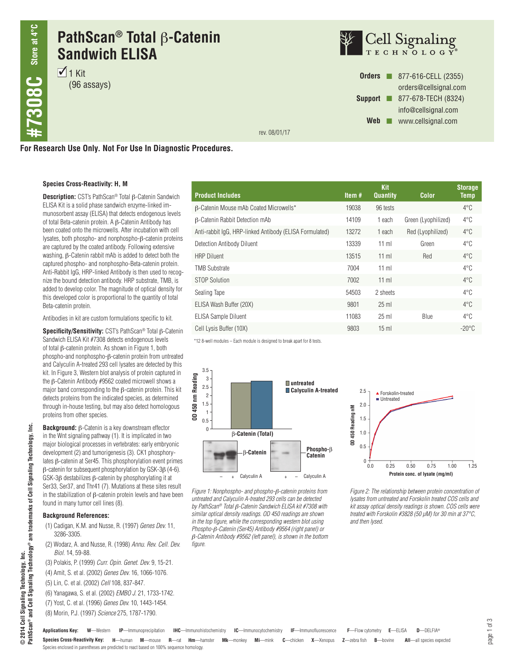# **PathScan® Total** b**-Catenin Sandwich ELISA**

 $\overline{1}$  1 Kit (96 assays)



**Orders n** 877-616-CELL (2355) orders@cellsignal.com **Support n** 877-678-TECH (8324) info@cellsignal.com Web **www.cellsignal.com** 

rev. 08/01/17

**For Research Use Only. Not For Use In Diagnostic Procedures.**

#### **Species Cross-Reactivity: H, M**

**Description:** CST's PathScan<sup>®</sup> Total β-Catenin Sandwich ELISA Kit is a solid phase sandwich enzyme-linked immunosorbent assay (ELISA) that detects endogenous levels of total Beta-catenin protein. A  $\beta$ -Catenin Antibody has been coated onto the microwells. After incubation with cell lysates, both phospho- and nonphospho- $\beta$ -catenin proteins are captured by the coated antibody. Following extensive washing,  $\beta$ -Catenin rabbit mAb is added to detect both the captured phospho- and nonphospho-Beta-catenin protein. Anti-Rabbit IgG, HRP-linked Antibody is then used to recognize the bound detection antibody. HRP substrate, TMB, is added to develop color. The magnitude of optical density for this developed color is proportional to the quantity of total Beta-catenin protein.

Antibodies in kit are custom formulations specific to kit.

Specificity/Sensitivity: CST's PathScan<sup>®</sup> Total  $\beta$ -Catenin Sandwich ELISA Kit #7308 detects endogenous levels of total  $\beta$ -catenin protein. As shown in Figure 1, both phospho-and nonphospho-β-catenin protein from untreated and Calyculin A-treated 293 cell lysates are detected by this kit. In Figure 3, Western blot analysis of protein captured in the β-Catenin Antibody #9562 coated microwell shows a major band corresponding to the β-catenin protein. This kit detects proteins from the indicated species, as determined through in-house testing, but may also detect homologous proteins from other species.

**PathScan® and Cell Signaling Technology® are trademarks of Cell Signaling Technology, Inc.** Ξ © 2014 Cell Signaling Technology, Inc.<br>PathScan® and Cell Signaling Technology® are trademarks of Cell Signaling Technology, **© 2014 Cell Signaling Technology, Inc.**

**Background:** β-Catenin is a key downstream effector in the Wnt signaling pathway (1). It is implicated in two major biological processes in vertebrates: early embryonic development (2) and tumorigenesis (3). CK1 phosphorylates β-catenin at Ser45. This phosphorylation event primes β-catenin for subsequent phosphorylation by GSK-3β (4-6). GSK-3β destabilizes β-catenin by phosphorylating it at Ser33, Ser37, and Thr41 (7). Mutations at these sites result in the stabilization of β-catenin protein levels and have been found in many tumor cell lines (8).

#### **Background References:**

- (1) Cadigan, K.M. and Nusse, R. (1997) *Genes Dev.* 11, 3286-3305.
- (2) Wodarz, A. and Nusse, R. (1998) *Annu. Rev. Cell. Dev. Biol.* 14, 59-88.

(3) Polakis, P. (1999) *Curr. Opin. Genet. Dev.* 9, 15-21. (4) Amit, S. et al. (2002) *Genes Dev.* 16, 1066-1076. (5) Lin, C. et al. (2002) *Cell* 108, 837-847. (6) Yanagawa, S. et al. (2002) *EMBO J.* 21, 1733-1742. (7) Yost, C. et al. (1996) *Genes Dev.* 10, 1443-1454. (8) Morin, P.J. (1997) *Science* 275, 1787-1790.

| <b>Product Includes</b>                                 | Item $#$ | <b>Kit</b><br><b>Quantity</b> | <b>Color</b>        | <b>Storage</b><br><b>Temp</b> |
|---------------------------------------------------------|----------|-------------------------------|---------------------|-------------------------------|
| B-Catenin Mouse mAb Coated Microwells*                  | 19038    | 96 tests                      |                     | $4^{\circ}$ C                 |
| <b>B-Catenin Rabbit Detection mAb</b>                   | 14109    | 1 each                        | Green (Lyophilized) | $4^{\circ}$ C                 |
| Anti-rabbit IgG, HRP-linked Antibody (ELISA Formulated) | 13272    | 1 each                        | Red (Lyophilized)   | $4^{\circ}$ C                 |
| Detection Antibody Diluent                              | 13339    | $11$ ml                       | Green               | $4^{\circ}$ C                 |
| <b>HRP Diluent</b>                                      | 13515    | $11$ ml                       | Red                 | $4^{\circ}$ C                 |
| <b>TMB Substrate</b>                                    | 7004     | $11$ m                        |                     | $4^{\circ}$ C                 |
| <b>STOP Solution</b>                                    | 7002     | $11$ ml                       |                     | $4^{\circ}$ C                 |
| Sealing Tape                                            | 54503    | 2 sheets                      |                     | $4^{\circ}$ C                 |
| ELISA Wash Buffer (20X)                                 | 9801     | $25$ ml                       |                     | $4^{\circ}$ C                 |
| <b>ELISA Sample Diluent</b>                             | 11083    | $25$ ml                       | <b>Blue</b>         | $4^{\circ}$ C                 |
| Cell Lysis Buffer (10X)                                 | 9803     | $15 \text{ ml}$               |                     | $-20^{\circ}$ C               |

\*12 8-well modules – Each module is designed to break apart for 8 tests.



*Figure 1: Nonphospho- and phospho-*b*-catenin proteins from untreated and Calyculin A-treated 293 cells can be detected by PathScan® Total* b*-Catenin Sandwich ELISA kit #7308 with similar optical density readings. OD 450 readings are shown in the top figure, while the corresponding western blot using Phospho-*b*-Catenin (Ser45) Antibody #9564 (right panel) or*  b*-Catenin Antibody #9562 (left panel), is shown in the bottom figure.*



*Figure 2: The relationship between protein concentration of lysates from untreated and Forskolin treated COS cells and kit assay optical density readings is shown. COS cells were treated with Forskolin #3828 (50 µM) for 30 min at 37°C, and then lysed.*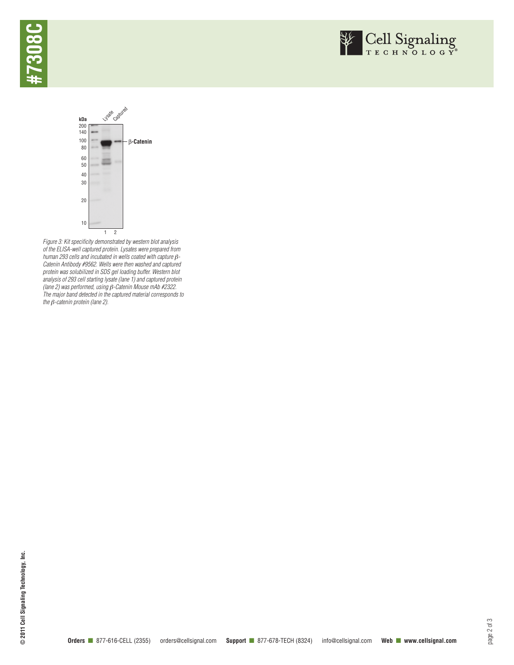





*Figure 3: Kit specificity demonstrated by western blot analysis of the ELISA-well captured protein. Lysates were prepared from human 293 cells and incubated in wells coated with capture β-Catenin Antibody #9562. Wells were then washed and captured protein was solubilized in SDS gel loading buffer. Western blot analysis of 293 cell starting lysate (lane 1) and captured protein (lane 2) was performed, using* b*-Catenin Mouse mAb #2322. The major band detected in the captured material corresponds to the* b*-catenin protein (lane 2).*